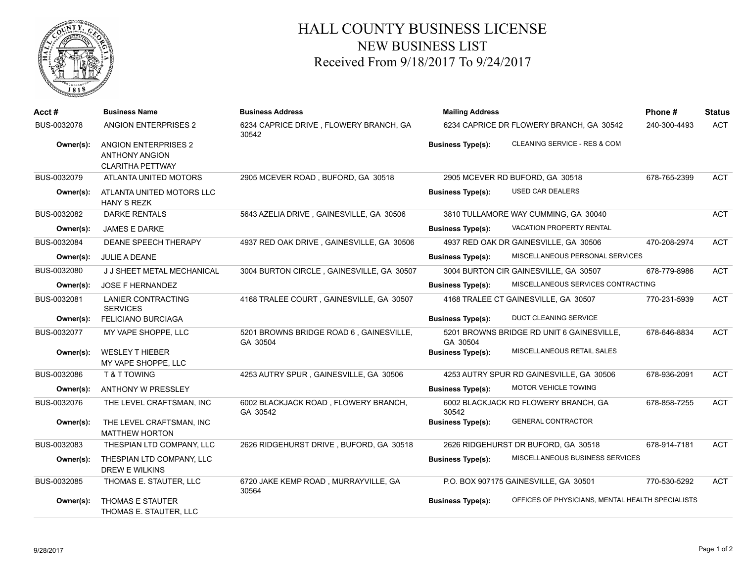

## HALL COUNTY BUSINESS LICENSE NEW BUSINESS LIST Received From 9/18/2017 To 9/24/2017

| Acct #      | <b>Business Name</b>                                                            | <b>Business Address</b>                             | <b>Mailing Address</b>                                                       | Phone#       | <b>Status</b><br><b>ACT</b> |
|-------------|---------------------------------------------------------------------------------|-----------------------------------------------------|------------------------------------------------------------------------------|--------------|-----------------------------|
| BUS-0032078 | <b>ANGION ENTERPRISES 2</b>                                                     | 6234 CAPRICE DRIVE, FLOWERY BRANCH, GA<br>30542     | 6234 CAPRICE DR FLOWERY BRANCH, GA 30542                                     | 240-300-4493 |                             |
| Owner(s):   | <b>ANGION ENTERPRISES 2</b><br><b>ANTHONY ANGION</b><br><b>CLARITHA PETTWAY</b> |                                                     | CLEANING SERVICE - RES & COM<br><b>Business Type(s):</b>                     |              |                             |
| BUS-0032079 | ATLANTA UNITED MOTORS                                                           | 2905 MCEVER ROAD, BUFORD, GA 30518                  | 2905 MCEVER RD BUFORD, GA 30518                                              | 678-765-2399 | <b>ACT</b>                  |
| Owner(s):   | ATLANTA UNITED MOTORS LLC<br><b>HANY S REZK</b>                                 |                                                     | USED CAR DEALERS<br><b>Business Type(s):</b>                                 |              |                             |
| BUS-0032082 | <b>DARKE RENTALS</b>                                                            | 5643 AZELIA DRIVE, GAINESVILLE, GA 30506            | 3810 TULLAMORE WAY CUMMING, GA 30040                                         |              | <b>ACT</b>                  |
| Owner(s):   | <b>JAMES E DARKE</b>                                                            |                                                     | <b>VACATION PROPERTY RENTAL</b><br><b>Business Type(s):</b>                  |              |                             |
| BUS-0032084 | DEANE SPEECH THERAPY                                                            | 4937 RED OAK DRIVE, GAINESVILLE, GA 30506           | 4937 RED OAK DR GAINESVILLE, GA 30506                                        | 470-208-2974 | <b>ACT</b>                  |
| Owner(s):   | <b>JULIE A DEANE</b>                                                            |                                                     | MISCELLANEOUS PERSONAL SERVICES<br><b>Business Type(s):</b>                  |              |                             |
| BUS-0032080 | J J SHEET METAL MECHANICAL                                                      | 3004 BURTON CIRCLE, GAINESVILLE, GA 30507           | 3004 BURTON CIR GAINESVILLE, GA 30507                                        | 678-779-8986 | <b>ACT</b>                  |
| Owner(s):   | JOSE F HERNANDEZ                                                                |                                                     | MISCELLANEOUS SERVICES CONTRACTING<br><b>Business Type(s):</b>               |              |                             |
| BUS-0032081 | <b>LANIER CONTRACTING</b><br><b>SERVICES</b>                                    | 4168 TRALEE COURT, GAINESVILLE, GA 30507            | 4168 TRALEE CT GAINESVILLE, GA 30507                                         | 770-231-5939 | <b>ACT</b>                  |
| Owner(s):   | <b>FELICIANO BURCIAGA</b>                                                       |                                                     | <b>DUCT CLEANING SERVICE</b><br><b>Business Type(s):</b>                     |              |                             |
| BUS-0032077 | MY VAPE SHOPPE, LLC                                                             | 5201 BROWNS BRIDGE ROAD 6, GAINESVILLE,<br>GA 30504 | 5201 BROWNS BRIDGE RD UNIT 6 GAINESVILLE,<br>GA 30504                        | 678-646-8834 | <b>ACT</b>                  |
| Owner(s):   | <b>WESLEY T HIEBER</b><br>MY VAPE SHOPPE, LLC                                   |                                                     | MISCELLANEOUS RETAIL SALES<br><b>Business Type(s):</b>                       |              |                             |
| BUS-0032086 | T & T TOWING                                                                    | 4253 AUTRY SPUR, GAINESVILLE, GA 30506              | 4253 AUTRY SPUR RD GAINESVILLE, GA 30506                                     | 678-936-2091 | <b>ACT</b>                  |
| Owner(s):   | <b>ANTHONY W PRESSLEY</b>                                                       |                                                     | MOTOR VEHICLE TOWING<br><b>Business Type(s):</b>                             |              |                             |
| BUS-0032076 | THE LEVEL CRAFTSMAN, INC                                                        | 6002 BLACKJACK ROAD, FLOWERY BRANCH,<br>GA 30542    | 6002 BLACKJACK RD FLOWERY BRANCH, GA<br>30542                                | 678-858-7255 | <b>ACT</b>                  |
| Owner(s):   | THE LEVEL CRAFTSMAN, INC<br><b>MATTHEW HORTON</b>                               |                                                     | <b>GENERAL CONTRACTOR</b><br><b>Business Type(s):</b>                        |              |                             |
| BUS-0032083 | THESPIAN LTD COMPANY, LLC                                                       | 2626 RIDGEHURST DRIVE, BUFORD, GA 30518             | 2626 RIDGEHURST DR BUFORD, GA 30518                                          | 678-914-7181 | <b>ACT</b>                  |
| Owner(s):   | THESPIAN LTD COMPANY, LLC<br><b>DREW E WILKINS</b>                              |                                                     | MISCELLANEOUS BUSINESS SERVICES<br><b>Business Type(s):</b>                  |              |                             |
| BUS-0032085 | THOMAS E. STAUTER, LLC                                                          | 6720 JAKE KEMP ROAD, MURRAYVILLE, GA<br>30564       | P.O. BOX 907175 GAINESVILLE, GA 30501                                        | 770-530-5292 | <b>ACT</b>                  |
| Owner(s):   | <b>THOMAS E STAUTER</b><br>THOMAS E. STAUTER, LLC                               |                                                     | OFFICES OF PHYSICIANS, MENTAL HEALTH SPECIALISTS<br><b>Business Type(s):</b> |              |                             |